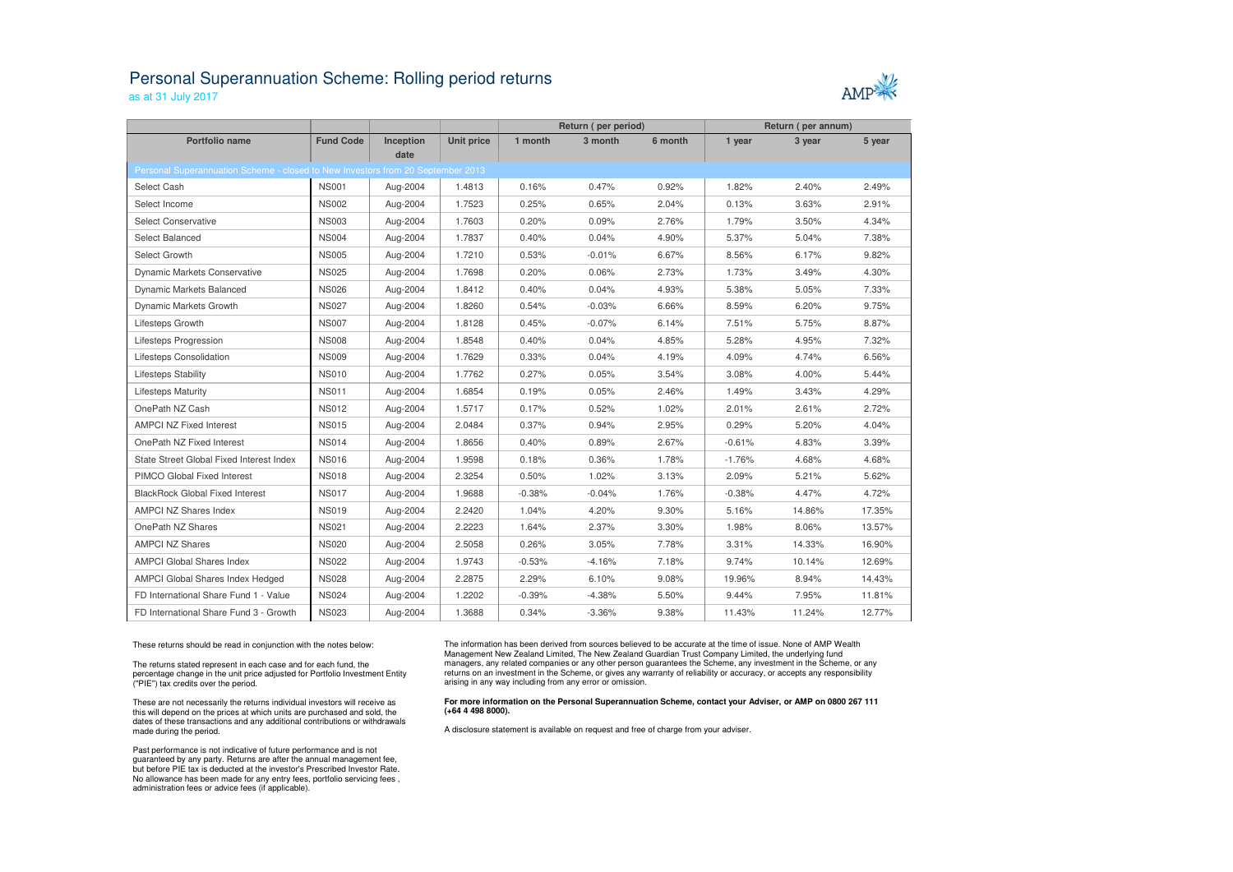## Personal Superannuation Scheme: Rolling period returns

as at 31 July 2017



|                                                                                 |                  |           |                   | Return (per period) |          |         | Return (per annum) |        |        |
|---------------------------------------------------------------------------------|------------------|-----------|-------------------|---------------------|----------|---------|--------------------|--------|--------|
| <b>Portfolio name</b>                                                           | <b>Fund Code</b> | Inception | <b>Unit price</b> | 1 month             | 3 month  | 6 month | 1 year             | 3 year | 5 year |
|                                                                                 |                  | date      |                   |                     |          |         |                    |        |        |
| Personal Superannuation Scheme - closed to New Investors from 20 September 2013 |                  |           |                   |                     |          |         |                    |        |        |
| Select Cash                                                                     | <b>NS001</b>     | Aug-2004  | 1.4813            | 0.16%               | 0.47%    | 0.92%   | 1.82%              | 2.40%  | 2.49%  |
| Select Income                                                                   | <b>NS002</b>     | Aug-2004  | 1.7523            | 0.25%               | 0.65%    | 2.04%   | 0.13%              | 3.63%  | 2.91%  |
| <b>Select Conservative</b>                                                      | <b>NS003</b>     | Aug-2004  | 1.7603            | 0.20%               | 0.09%    | 2.76%   | 1.79%              | 3.50%  | 4.34%  |
| Select Balanced                                                                 | <b>NS004</b>     | Aug-2004  | 1.7837            | 0.40%               | 0.04%    | 4.90%   | 5.37%              | 5.04%  | 7.38%  |
| Select Growth                                                                   | <b>NS005</b>     | Aug-2004  | 1.7210            | 0.53%               | $-0.01%$ | 6.67%   | 8.56%              | 6.17%  | 9.82%  |
| <b>Dynamic Markets Conservative</b>                                             | <b>NS025</b>     | Aug-2004  | 1.7698            | 0.20%               | 0.06%    | 2.73%   | 1.73%              | 3.49%  | 4.30%  |
| Dynamic Markets Balanced                                                        | <b>NS026</b>     | Aug-2004  | 1.8412            | 0.40%               | 0.04%    | 4.93%   | 5.38%              | 5.05%  | 7.33%  |
| Dynamic Markets Growth                                                          | <b>NS027</b>     | Aug-2004  | 1.8260            | 0.54%               | $-0.03%$ | 6.66%   | 8.59%              | 6.20%  | 9.75%  |
| Lifesteps Growth                                                                | <b>NS007</b>     | Aug-2004  | 1.8128            | 0.45%               | $-0.07%$ | 6.14%   | 7.51%              | 5.75%  | 8.87%  |
| Lifesteps Progression                                                           | <b>NS008</b>     | Aug-2004  | 1.8548            | 0.40%               | 0.04%    | 4.85%   | 5.28%              | 4.95%  | 7.32%  |
| Lifesteps Consolidation                                                         | <b>NS009</b>     | Aug-2004  | 1.7629            | 0.33%               | 0.04%    | 4.19%   | 4.09%              | 4.74%  | 6.56%  |
| Lifesteps Stability                                                             | <b>NS010</b>     | Aug-2004  | 1.7762            | 0.27%               | 0.05%    | 3.54%   | 3.08%              | 4.00%  | 5.44%  |
| <b>Lifesteps Maturity</b>                                                       | <b>NS011</b>     | Aug-2004  | 1.6854            | 0.19%               | 0.05%    | 2.46%   | 1.49%              | 3.43%  | 4.29%  |
| OnePath NZ Cash                                                                 | <b>NS012</b>     | Aug-2004  | 1.5717            | 0.17%               | 0.52%    | 1.02%   | $2.01\%$           | 2.61%  | 2.72%  |
| <b>AMPCI NZ Fixed Interest</b>                                                  | <b>NS015</b>     | Aug-2004  | 2.0484            | 0.37%               | 0.94%    | 2.95%   | 0.29%              | 5.20%  | 4.04%  |
| OnePath NZ Fixed Interest                                                       | <b>NS014</b>     | Aug-2004  | 1.8656            | 0.40%               | 0.89%    | 2.67%   | $-0.61%$           | 4.83%  | 3.39%  |
| State Street Global Fixed Interest Index                                        | <b>NS016</b>     | Aug-2004  | 1.9598            | 0.18%               | 0.36%    | 1.78%   | $-1.76%$           | 4.68%  | 4.68%  |
| PIMCO Global Fixed Interest                                                     | <b>NS018</b>     | Aug-2004  | 2.3254            | 0.50%               | 1.02%    | 3.13%   | 2.09%              | 5.21%  | 5.62%  |
| <b>BlackRock Global Fixed Interest</b>                                          | <b>NS017</b>     | Aug-2004  | 1.9688            | $-0.38%$            | $-0.04%$ | 1.76%   | $-0.38%$           | 4.47%  | 4.72%  |
| AMPCI NZ Shares Index                                                           | <b>NS019</b>     | Aug-2004  | 2.2420            | 1.04%               | 4.20%    | 9.30%   | 5.16%              | 14.86% | 17.35% |
| OnePath NZ Shares                                                               | <b>NS021</b>     | Aug-2004  | 2.2223            | 1.64%               | 2.37%    | 3.30%   | 1.98%              | 8.06%  | 13.57% |
| <b>AMPCI NZ Shares</b>                                                          | <b>NS020</b>     | Aug-2004  | 2.5058            | 0.26%               | 3.05%    | 7.78%   | 3.31%              | 14.33% | 16.90% |
| <b>AMPCI Global Shares Index</b>                                                | <b>NS022</b>     | Aug-2004  | 1.9743            | $-0.53%$            | $-4.16%$ | 7.18%   | 9.74%              | 10.14% | 12.69% |
| AMPCI Global Shares Index Hedged                                                | <b>NS028</b>     | Aug-2004  | 2.2875            | 2.29%               | 6.10%    | 9.08%   | 19.96%             | 8.94%  | 14.43% |
| FD International Share Fund 1 - Value                                           | <b>NS024</b>     | Aug-2004  | 1.2202            | $-0.39%$            | $-4.38%$ | 5.50%   | 9.44%              | 7.95%  | 11.81% |
| FD International Share Fund 3 - Growth                                          | <b>NS023</b>     | Aug-2004  | 1.3688            | 0.34%               | $-3.36%$ | 9.38%   | 11.43%             | 11.24% | 12.77% |

These returns should be read in conjunction with the notes below:

The returns stated represent in each case and for each fund, the percentage change in the unit price adjusted for Portfolio Investment Entity ("PIE") tax credits over the period.

These are not necessarily the returns individual investors will receive as this will depend on the prices at which units are purchased and sold, the dates of these transactions and any additional contributions or withdrawals made during the period.

Past performance is not indicative of future performance and is not guaranteed by any party. Returns are after the annual management fee, but before PIE tax is deducted at the investor's Prescribed Investor Rate. No allowance has been made for any entry fees, portfolio servicing fees , administration fees or advice fees (if applicable).

The information has been derived from sources believed to be accurate at the time of issue. None of AMP Wealth Management New Zealand Limited, The New Zealand Guardian Trust Company Limited, the underlying fund managers, any related companies or any other person guarantees the Scheme, any investment in the Scheme, or any returns on an investment in the Scheme, or gives any warranty of reliability or accuracy, or accepts any responsibility arising in any way including from any error or omission.

## **For more information on the Personal Superannuation Scheme, contact your Adviser, or AMP on 0800 267 111 (+64 4 498 8000).**

A disclosure statement is available on request and free of charge from your adviser.